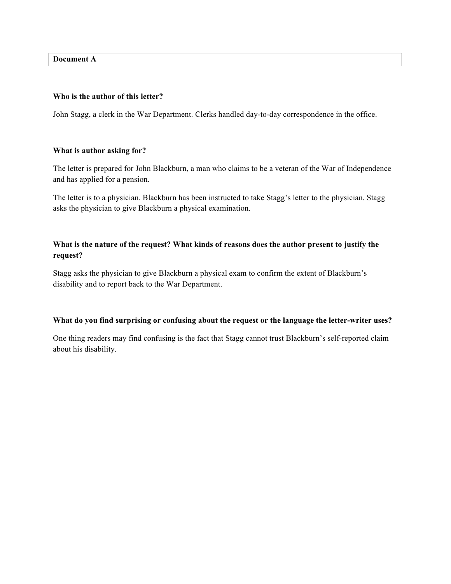**Document A**

### **Who is the author of this letter?**

John Stagg, a clerk in the War Department. Clerks handled day-to-day correspondence in the office.

## **What is author asking for?**

The letter is prepared for John Blackburn, a man who claims to be a veteran of the War of Independence and has applied for a pension.

The letter is to a physician. Blackburn has been instructed to take Stagg's letter to the physician. Stagg asks the physician to give Blackburn a physical examination.

# **What is the nature of the request? What kinds of reasons does the author present to justify the request?**

Stagg asks the physician to give Blackburn a physical exam to confirm the extent of Blackburn's disability and to report back to the War Department.

## **What do you find surprising or confusing about the request or the language the letter-writer uses?**

One thing readers may find confusing is the fact that Stagg cannot trust Blackburn's self-reported claim about his disability.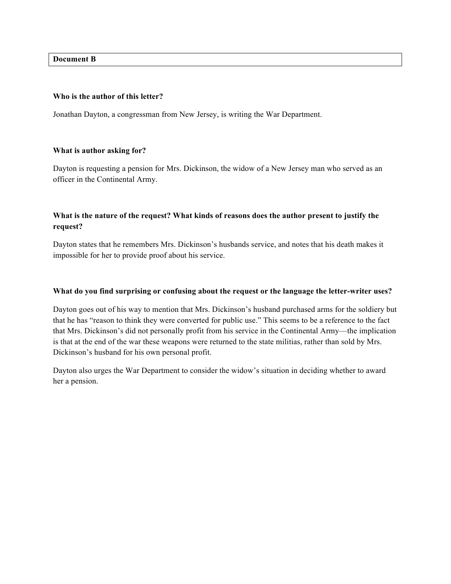**Document B**

### **Who is the author of this letter?**

Jonathan Dayton, a congressman from New Jersey, is writing the War Department.

### **What is author asking for?**

Dayton is requesting a pension for Mrs. Dickinson, the widow of a New Jersey man who served as an officer in the Continental Army.

# **What is the nature of the request? What kinds of reasons does the author present to justify the request?**

Dayton states that he remembers Mrs. Dickinson's husbands service, and notes that his death makes it impossible for her to provide proof about his service.

#### **What do you find surprising or confusing about the request or the language the letter-writer uses?**

Dayton goes out of his way to mention that Mrs. Dickinson's husband purchased arms for the soldiery but that he has "reason to think they were converted for public use." This seems to be a reference to the fact that Mrs. Dickinson's did not personally profit from his service in the Continental Army—the implication is that at the end of the war these weapons were returned to the state militias, rather than sold by Mrs. Dickinson's husband for his own personal profit.

Dayton also urges the War Department to consider the widow's situation in deciding whether to award her a pension.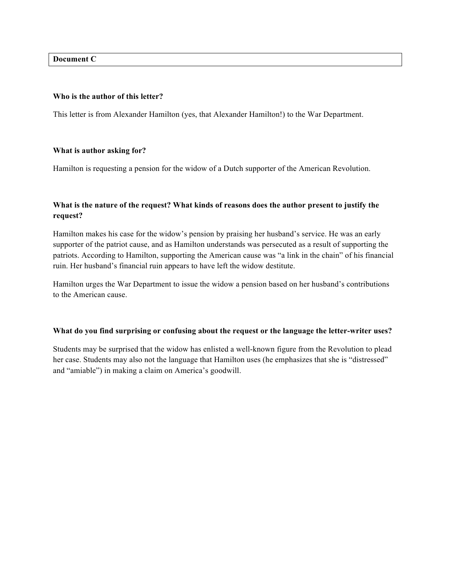**Document C**

### **Who is the author of this letter?**

This letter is from Alexander Hamilton (yes, that Alexander Hamilton!) to the War Department.

### **What is author asking for?**

Hamilton is requesting a pension for the widow of a Dutch supporter of the American Revolution.

# **What is the nature of the request? What kinds of reasons does the author present to justify the request?**

Hamilton makes his case for the widow's pension by praising her husband's service. He was an early supporter of the patriot cause, and as Hamilton understands was persecuted as a result of supporting the patriots. According to Hamilton, supporting the American cause was "a link in the chain" of his financial ruin. Her husband's financial ruin appears to have left the widow destitute.

Hamilton urges the War Department to issue the widow a pension based on her husband's contributions to the American cause.

## **What do you find surprising or confusing about the request or the language the letter-writer uses?**

Students may be surprised that the widow has enlisted a well-known figure from the Revolution to plead her case. Students may also not the language that Hamilton uses (he emphasizes that she is "distressed" and "amiable") in making a claim on America's goodwill.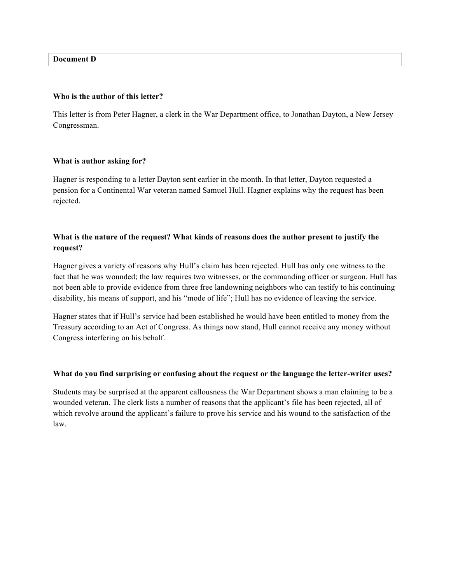**Document D**

#### **Who is the author of this letter?**

This letter is from Peter Hagner, a clerk in the War Department office, to Jonathan Dayton, a New Jersey Congressman.

#### **What is author asking for?**

Hagner is responding to a letter Dayton sent earlier in the month. In that letter, Dayton requested a pension for a Continental War veteran named Samuel Hull. Hagner explains why the request has been rejected.

# **What is the nature of the request? What kinds of reasons does the author present to justify the request?**

Hagner gives a variety of reasons why Hull's claim has been rejected. Hull has only one witness to the fact that he was wounded; the law requires two witnesses, or the commanding officer or surgeon. Hull has not been able to provide evidence from three free landowning neighbors who can testify to his continuing disability, his means of support, and his "mode of life"; Hull has no evidence of leaving the service.

Hagner states that if Hull's service had been established he would have been entitled to money from the Treasury according to an Act of Congress. As things now stand, Hull cannot receive any money without Congress interfering on his behalf.

#### **What do you find surprising or confusing about the request or the language the letter-writer uses?**

Students may be surprised at the apparent callousness the War Department shows a man claiming to be a wounded veteran. The clerk lists a number of reasons that the applicant's file has been rejected, all of which revolve around the applicant's failure to prove his service and his wound to the satisfaction of the law.